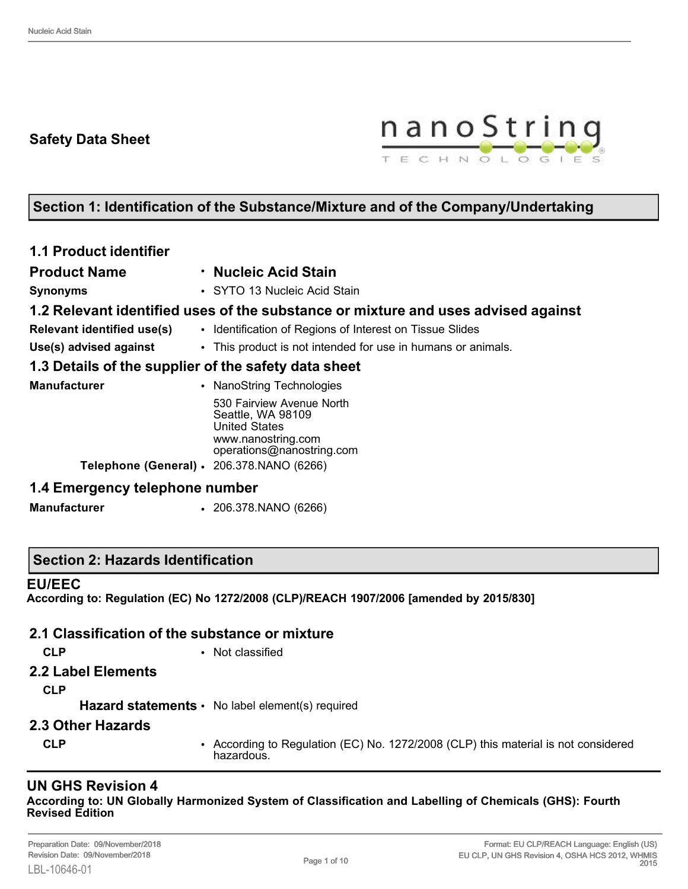# **Safety Data Sheet**



# **Section 1: Identification of the Substance/Mixture and of the Company/Undertaking**

| <b>1.1 Product identifier</b>                                                                                             |                                                                                   |
|---------------------------------------------------------------------------------------------------------------------------|-----------------------------------------------------------------------------------|
| <b>Product Name</b>                                                                                                       | · Nucleic Acid Stain                                                              |
| <b>Synonyms</b>                                                                                                           | • SYTO 13 Nucleic Acid Stain                                                      |
|                                                                                                                           | 1.2 Relevant identified uses of the substance or mixture and uses advised against |
| <b>Relevant identified use(s)</b>                                                                                         | • Identification of Regions of Interest on Tissue Slides                          |
| Use(s) advised against                                                                                                    | • This product is not intended for use in humans or animals.                      |
| 1.3 Details of the supplier of the safety data sheet                                                                      |                                                                                   |
| <b>Manufacturer</b>                                                                                                       | NanoString Technologies                                                           |
| 530 Fairview Avenue North<br>Seattle, WA 98109<br><b>United States</b><br>www.nanostring.com<br>operations@nanostring.com |                                                                                   |
| Telephone (General) · 206.378.NANO (6266)                                                                                 |                                                                                   |
| 1.4 Emergency telephone number                                                                                            |                                                                                   |

**Manufacturer** • 206.378.NANO (6266)

## **Section 2: Hazards Identification**

#### **EU/EEC**

**According to: Regulation (EC) No 1272/2008 (CLP)/REACH 1907/2006 [amended by 2015/830]**

#### **2.1 Classification of the substance or mixture**

- 
- **CLP** Not classified
- **2.2 Label Elements**
	- **CLP**

Hazard statements • No label element(s) required

- **2.3 Other Hazards**
	-
	- **CLP** According to Regulation (EC) No. 1272/2008 (CLP) this material is not considered hazardous.

# **UN GHS Revision 4**

**According to: UN Globally Harmonized System of Classification and Labelling of Chemicals (GHS): Fourth Revised Edition**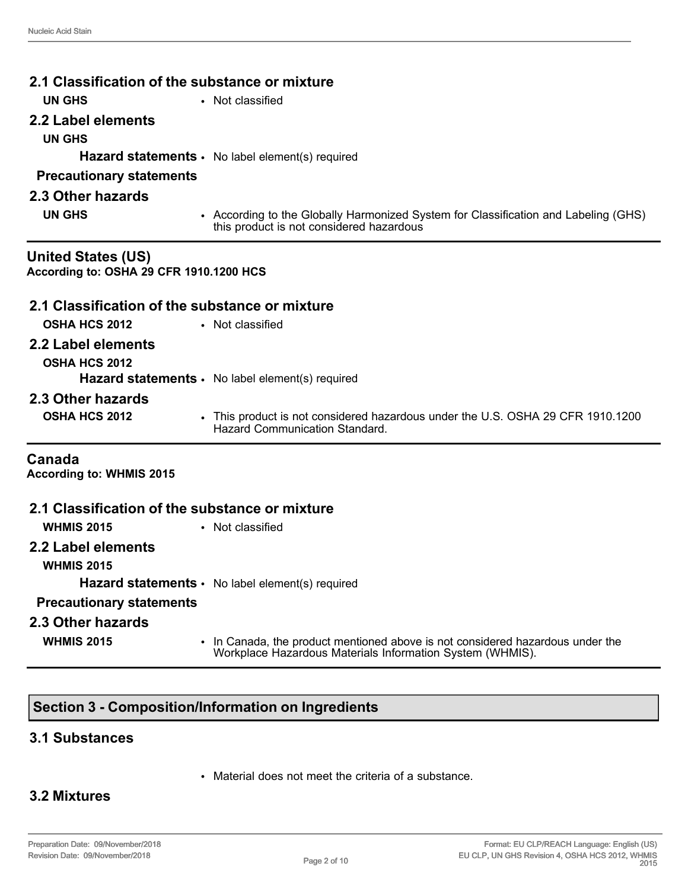| 2.1 Classification of the substance or mixture                       |                                                                                                                                             |  |  |
|----------------------------------------------------------------------|---------------------------------------------------------------------------------------------------------------------------------------------|--|--|
| <b>UN GHS</b>                                                        | • Not classified                                                                                                                            |  |  |
| 2.2 Label elements                                                   |                                                                                                                                             |  |  |
| <b>UN GHS</b>                                                        |                                                                                                                                             |  |  |
|                                                                      | <b>Hazard statements <math>\cdot</math></b> No label element(s) required                                                                    |  |  |
| <b>Precautionary statements</b>                                      |                                                                                                                                             |  |  |
| 2.3 Other hazards                                                    |                                                                                                                                             |  |  |
| <b>UN GHS</b>                                                        | • According to the Globally Harmonized System for Classification and Labeling (GHS)<br>this product is not considered hazardous             |  |  |
| <b>United States (US)</b><br>According to: OSHA 29 CFR 1910.1200 HCS |                                                                                                                                             |  |  |
| 2.1 Classification of the substance or mixture                       |                                                                                                                                             |  |  |
| <b>OSHA HCS 2012</b>                                                 | • Not classified                                                                                                                            |  |  |
| 2.2 Label elements                                                   |                                                                                                                                             |  |  |
| <b>OSHA HCS 2012</b>                                                 |                                                                                                                                             |  |  |
|                                                                      | Hazard statements · No label element(s) required                                                                                            |  |  |
| 2.3 Other hazards                                                    |                                                                                                                                             |  |  |
| <b>OSHA HCS 2012</b>                                                 | • This product is not considered hazardous under the U.S. OSHA 29 CFR 1910.1200<br><b>Hazard Communication Standard</b>                     |  |  |
| Canada<br><b>According to: WHMIS 2015</b>                            |                                                                                                                                             |  |  |
| 2.1 Classification of the substance or mixture                       |                                                                                                                                             |  |  |
| <b>WHMIS 2015</b>                                                    | • Not classified                                                                                                                            |  |  |
| 2.2 Label elements<br><b>WHMIS 2015</b>                              |                                                                                                                                             |  |  |
|                                                                      | <b>Hazard statements •</b> No label element(s) required                                                                                     |  |  |
| <b>Precautionary statements</b>                                      |                                                                                                                                             |  |  |
| 2.3 Other hazards                                                    |                                                                                                                                             |  |  |
| <b>WHMIS 2015</b>                                                    | • In Canada, the product mentioned above is not considered hazardous under the<br>Workplace Hazardous Materials Information System (WHMIS). |  |  |

# **Section 3 - Composition/Information on Ingredients**

#### **3.1 Substances**

• Material does not meet the criteria of a substance.

## **3.2 Mixtures**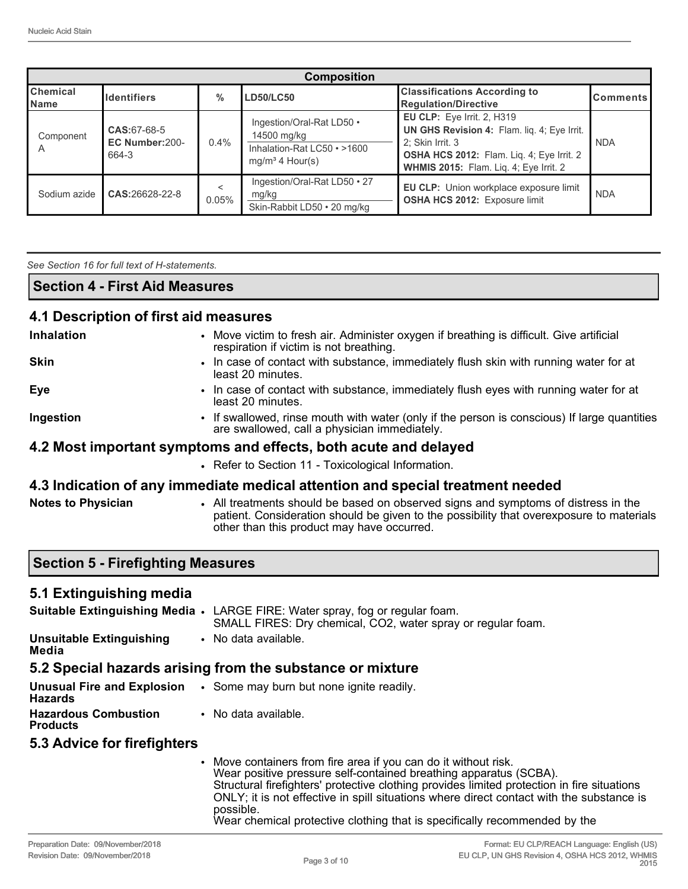|                                | <b>Composition</b>                     |       |                                                                                              |                                                                                                                                                                                      |                 |  |
|--------------------------------|----------------------------------------|-------|----------------------------------------------------------------------------------------------|--------------------------------------------------------------------------------------------------------------------------------------------------------------------------------------|-----------------|--|
| <b>Chemical</b><br><b>Name</b> | <b>I</b> dentifiers                    | $\%$  | <b>LD50/LC50</b>                                                                             | <b>Classifications According to</b><br><b>Regulation/Directive</b>                                                                                                                   | <b>Comments</b> |  |
| Component<br>A                 | CAS:67-68-5<br>EC Number:200-<br>664-3 | 0.4%  | Ingestion/Oral-Rat LD50 .<br>14500 mg/kg<br>Inhalation-Rat LC50 · >1600<br>$mq/m3$ 4 Hour(s) | EU CLP: Eye Irrit. 2, H319<br>UN GHS Revision 4: Flam. liq. 4; Eye Irrit.<br>2: Skin Irrit. 3<br>OSHA HCS 2012: Flam. Liq. 4; Eye Irrit. 2<br>WHMIS 2015: Flam. Liq. 4; Eye Irrit. 2 | <b>NDA</b>      |  |
| Sodium azide                   | CAS:26628-22-8                         | 0.05% | Ingestion/Oral-Rat LD50 • 27<br>mg/kg<br>Skin-Rabbit LD50 • 20 mg/kg                         | EU CLP: Union workplace exposure limit<br>OSHA HCS 2012: Exposure limit                                                                                                              | <b>NDA</b>      |  |

*See Section 16 for full text of H-statements.* 

**Section 4 - First Aid Measures**

#### **4.1 Description of first aid measures**

| <b>Inhalation</b>                                                              | • Move victim to fresh air. Administer oxygen if breathing is difficult. Give artificial<br>respiration if victim is not breathing.          |  |
|--------------------------------------------------------------------------------|----------------------------------------------------------------------------------------------------------------------------------------------|--|
| <b>Skin</b>                                                                    | • In case of contact with substance, immediately flush skin with running water for at<br>least 20 minutes.                                   |  |
| <b>Eye</b>                                                                     | • In case of contact with substance, immediately flush eyes with running water for at<br>least 20 minutes.                                   |  |
| Ingestion                                                                      | • If swallowed, rinse mouth with water (only if the person is conscious) If large quantities<br>are swallowed, call a physician immediately. |  |
| 4.2 Most important symptoms and effects, both acute and delayed                |                                                                                                                                              |  |
|                                                                                | • Refer to Section 11 - Toxicological Information.                                                                                           |  |
| 4.3 Indication of any immediate medical attention and special treatment needed |                                                                                                                                              |  |

**Notes to Physician** • All treatments should be based on observed signs and symptoms of distress in the patient. Consideration should be given to the possibility that overexposure to materials other than this product may have occurred.

#### **Section 5 - Firefighting Measures**

#### **5.1 Extinguishing media**

|                                          | Suitable Extinguishing Media . LARGE FIRE: Water spray, fog or regular foam. |
|------------------------------------------|------------------------------------------------------------------------------|
|                                          | SMALL FIRES: Dry chemical, CO2, water spray or regular foam.                 |
| <b>Unsuitable Extinguishing</b><br>Media | • No data available.                                                         |

# **5.2 Special hazards arising from the substance or mixture**

**Unusual Fire and Explosion Hazards** • Some may burn but none ignite readily. **Hazardous Combustion Products** • No data available.

## **5.3 Advice for firefighters**

• Move containers from fire area if you can do it without risk. Wear positive pressure self-contained breathing apparatus (SCBA). Structural firefighters' protective clothing provides limited protection in fire situations ONLY; it is not effective in spill situations where direct contact with the substance is possible.

Wear chemical protective clothing that is specifically recommended by the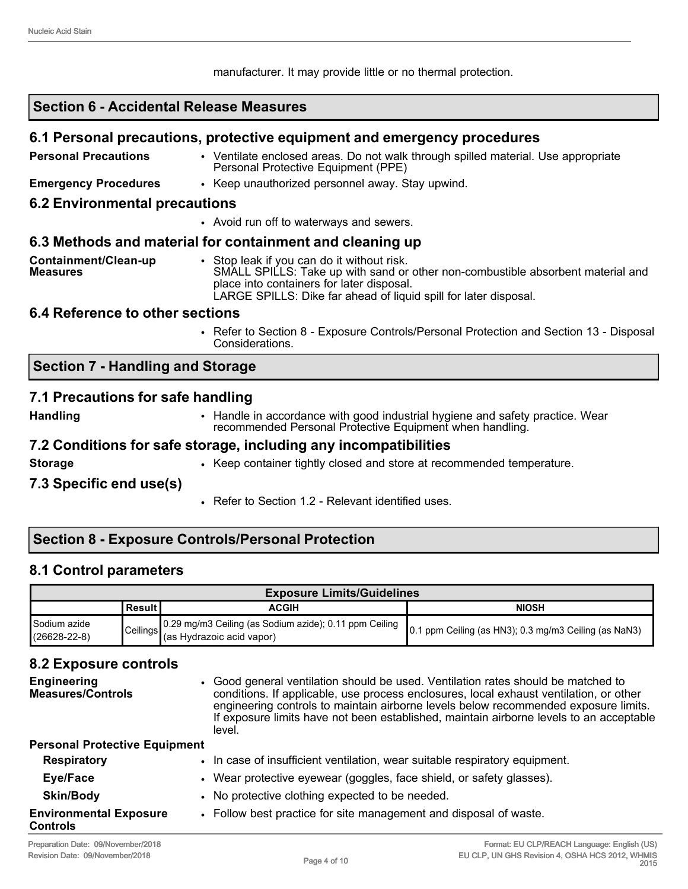manufacturer. It may provide little or no thermal protection.

## **Section 6 - Accidental Release Measures**

#### **6.1 Personal precautions, protective equipment and emergency procedures**

| <b>Personal Precautions</b>             | • Ventilate enclosed areas. Do not walk through spilled material. Use appropriate<br>Personal Protective Equipment (PPE)      |
|-----------------------------------------|-------------------------------------------------------------------------------------------------------------------------------|
| <b>Emergency Procedures</b>             | • Keep unauthorized personnel away. Stay upwind.                                                                              |
| <b>6.2 Environmental precautions</b>    |                                                                                                                               |
|                                         | • Avoid run off to waterways and sewers.                                                                                      |
|                                         | 6.3 Methods and material for containment and cleaning up                                                                      |
| Containment/Clean-up<br><b>Measures</b> | • Stop leak if you can do it without risk.<br>SMALL SPILLS: Take up with sand or other non-combustible absorbent material and |

place into containers for later disposal.

#### **6.4 Reference to other sections**

• Refer to Section 8 - Exposure Controls/Personal Protection and Section 13 - Disposal Considerations.

#### **Section 7 - Handling and Storage**

#### **7.1 Precautions for safe handling**

- 
- **Handling** Handle in accordance with good industrial hygiene and safety practice. Wear recommended Personal Protective Equipment when handling.

#### **7.2 Conditions for safe storage, including any incompatibilities**

**Storage** • Keep container tightly closed and store at recommended temperature.

LARGE SPILLS: Dike far ahead of liquid spill for later disposal.

#### **7.3 Specific end use(s)**

• Refer to Section 1.2 - Relevant identified uses.

# **Section 8 - Exposure Controls/Personal Protection**

## **8.1 Control parameters**

| <b>Exposure Limits/Guidelines</b>  |            |                                                                                           |                                                       |
|------------------------------------|------------|-------------------------------------------------------------------------------------------|-------------------------------------------------------|
|                                    | l Result I | <b>ACGIH</b>                                                                              | <b>NIOSH</b>                                          |
| Sodium azide<br>$(26628 - 22 - 8)$ |            | Ceilings 0.29 mg/m3 Ceiling (as Sodium azide); 0.11 ppm Ceiling (as Hydrazoic acid vapor) | 0.1 ppm Ceiling (as HN3); 0.3 mg/m3 Ceiling (as NaN3) |

## **8.2 Exposure controls**

| <b>Engineering</b><br><b>Measures/Controls</b>   | • Good general ventilation should be used. Ventilation rates should be matched to<br>conditions. If applicable, use process enclosures, local exhaust ventilation, or other<br>engineering controls to maintain airborne levels below recommended exposure limits.<br>If exposure limits have not been established, maintain airborne levels to an acceptable<br>level. |
|--------------------------------------------------|-------------------------------------------------------------------------------------------------------------------------------------------------------------------------------------------------------------------------------------------------------------------------------------------------------------------------------------------------------------------------|
| <b>Personal Protective Equipment</b>             |                                                                                                                                                                                                                                                                                                                                                                         |
| <b>Respiratory</b>                               | . In case of insufficient ventilation, wear suitable respiratory equipment.                                                                                                                                                                                                                                                                                             |
| Eye/Face                                         | • Wear protective eyewear (goggles, face shield, or safety glasses).                                                                                                                                                                                                                                                                                                    |
| <b>Skin/Body</b>                                 | • No protective clothing expected to be needed.                                                                                                                                                                                                                                                                                                                         |
| <b>Environmental Exposure</b><br><b>Controls</b> | • Follow best practice for site management and disposal of waste.                                                                                                                                                                                                                                                                                                       |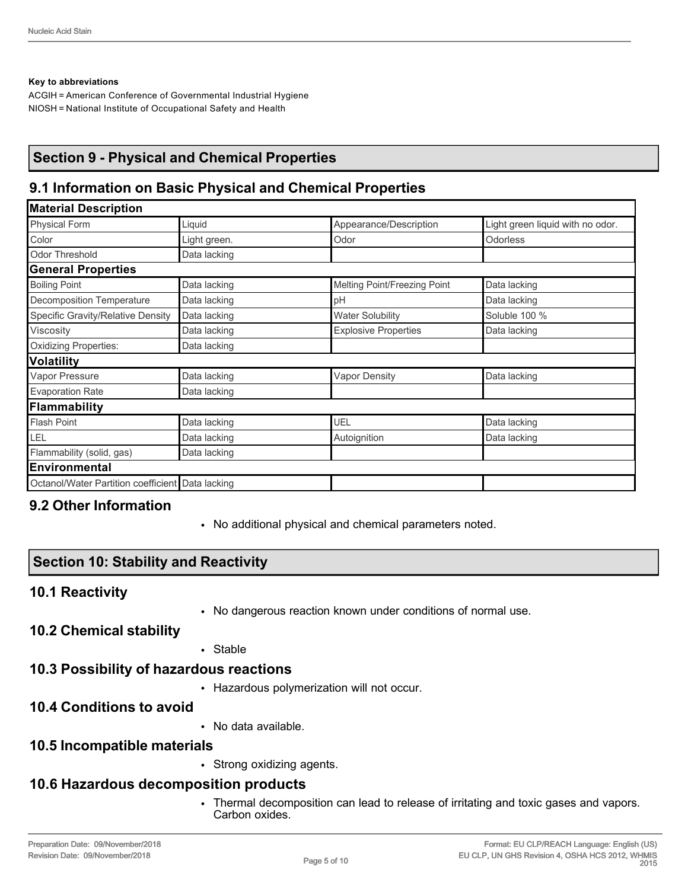#### **Key to abbreviations**

ACGIH = American Conference of Governmental Industrial Hygiene NIOSH = National Institute of Occupational Safety and Health

# **Section 9 - Physical and Chemical Properties**

# **9.1 Information on Basic Physical and Chemical Properties**

| <b>Material Description</b>                      |              |                              |                                  |  |
|--------------------------------------------------|--------------|------------------------------|----------------------------------|--|
| <b>Physical Form</b>                             | Liquid       | Appearance/Description       | Light green liquid with no odor. |  |
| Color                                            | Light green. | Odor                         | <b>Odorless</b>                  |  |
| <b>Odor Threshold</b>                            | Data lacking |                              |                                  |  |
| <b>General Properties</b>                        |              |                              |                                  |  |
| <b>Boiling Point</b>                             | Data lacking | Melting Point/Freezing Point | Data lacking                     |  |
| <b>Decomposition Temperature</b>                 | Data lacking | pH                           | Data lacking                     |  |
| Specific Gravity/Relative Density                | Data lacking | <b>Water Solubility</b>      | Soluble 100 %                    |  |
| Viscosity                                        | Data lacking | <b>Explosive Properties</b>  | Data lacking                     |  |
| <b>Oxidizing Properties:</b>                     | Data lacking |                              |                                  |  |
| <b>Volatility</b>                                |              |                              |                                  |  |
| Vapor Pressure                                   | Data lacking | <b>Vapor Density</b>         | Data lacking                     |  |
| <b>Evaporation Rate</b>                          | Data lacking |                              |                                  |  |
| Flammability                                     |              |                              |                                  |  |
| <b>Flash Point</b>                               | Data lacking | UEL                          | Data lacking                     |  |
| LEL                                              | Data lacking | Autoignition                 | Data lacking                     |  |
| Flammability (solid, gas)                        | Data lacking |                              |                                  |  |
| Environmental                                    |              |                              |                                  |  |
| Octanol/Water Partition coefficient Data lacking |              |                              |                                  |  |

## **9.2 Other Information**

• No additional physical and chemical parameters noted.

## **Section 10: Stability and Reactivity**

#### **10.1 Reactivity**

• No dangerous reaction known under conditions of normal use.

#### **10.2 Chemical stability**

• Stable

## **10.3 Possibility of hazardous reactions**

• Hazardous polymerization will not occur.

## **10.4 Conditions to avoid**

• No data available.

## **10.5 Incompatible materials**

• Strong oxidizing agents.

# **10.6 Hazardous decomposition products**

• Thermal decomposition can lead to release of irritating and toxic gases and vapors. Carbon oxides.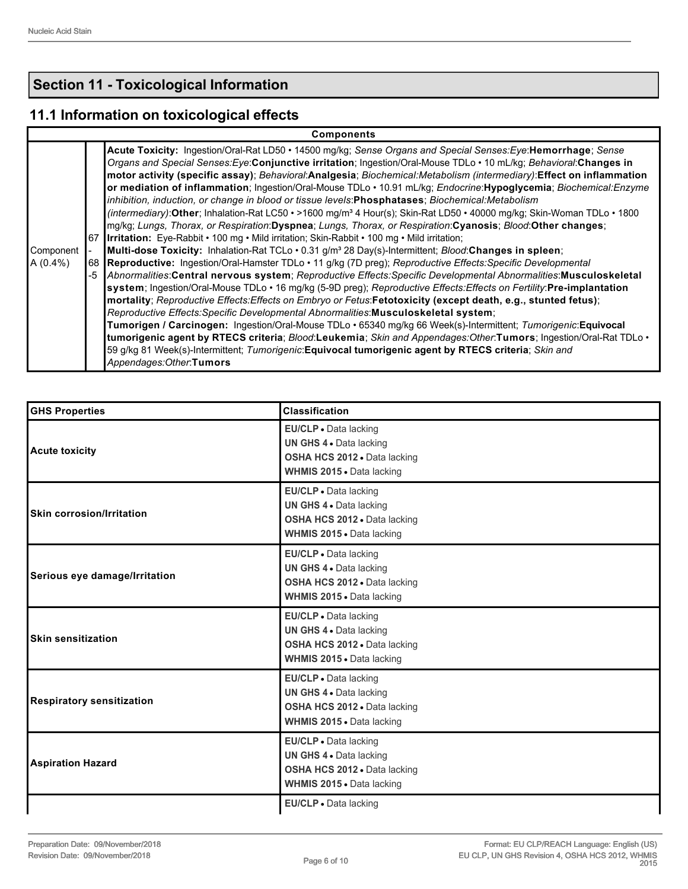# **Section 11 - Toxicological Information**

# **11.1 Information on toxicological effects**

|                          | <b>Components</b>                                                                                                                                                                                                                                                                                                                                                                                                                                                                                                                                                                                                                                                                                                                                                                                                                                                                                                                                                                                                                                                                                                                                                                                                                                                                                                                                                                                                                                                                                                                                                                                                                                                                                                                                                                                                                                                                                                                                                                                                                  |
|--------------------------|------------------------------------------------------------------------------------------------------------------------------------------------------------------------------------------------------------------------------------------------------------------------------------------------------------------------------------------------------------------------------------------------------------------------------------------------------------------------------------------------------------------------------------------------------------------------------------------------------------------------------------------------------------------------------------------------------------------------------------------------------------------------------------------------------------------------------------------------------------------------------------------------------------------------------------------------------------------------------------------------------------------------------------------------------------------------------------------------------------------------------------------------------------------------------------------------------------------------------------------------------------------------------------------------------------------------------------------------------------------------------------------------------------------------------------------------------------------------------------------------------------------------------------------------------------------------------------------------------------------------------------------------------------------------------------------------------------------------------------------------------------------------------------------------------------------------------------------------------------------------------------------------------------------------------------------------------------------------------------------------------------------------------------|
| Component  <br> A (0.4%) | Acute Toxicity: Ingestion/Oral-Rat LD50 • 14500 mg/kg; Sense Organs and Special Senses: Eye: Hemorrhage; Sense<br>Organs and Special Senses: Eye: Conjunctive irritation; Ingestion/Oral-Mouse TDLo · 10 mL/kg; Behavioral: Changes in<br>motor activity (specific assay); Behavioral:Analgesia; Biochemical:Metabolism (intermediary):Effect on inflammation<br>or mediation of inflammation; Ingestion/Oral-Mouse TDLo · 10.91 mL/kg; Endocrine: Hypoglycemia; Biochemical: Enzyme<br>inhibition, induction, or change in blood or tissue levels: Phosphatases; Biochemical: Metabolism<br>(intermediary): Other; Inhalation-Rat LC50 • >1600 mg/m <sup>3</sup> 4 Hour(s); Skin-Rat LD50 • 40000 mg/kg; Skin-Woman TDLo • 1800<br>mg/kg; Lungs, Thorax, or Respiration:Dyspnea; Lungs, Thorax, or Respiration:Cyanosis; Blood:Other changes;<br>67 Irritation: Eye-Rabbit • 100 mg • Mild irritation; Skin-Rabbit • 100 mg • Mild irritation;<br>Multi-dose Toxicity: Inhalation-Rat TCLo · 0.31 g/m <sup>3</sup> 28 Day(s)-Intermittent; <i>Blood:</i> Changes in spleen;<br>68 Reproductive: Ingestion/Oral-Hamster TDLo · 11 g/kg (7D preg); Reproductive Effects: Specific Developmental<br>-5 Abnormalities:Central nervous system; Reproductive Effects:Specific Developmental Abnormalities:Musculoskeletal<br>system; Ingestion/Oral-Mouse TDLo · 16 mg/kg (5-9D preg); Reproductive Effects: Effects on Fertility: Pre-implantation<br> mortality; Reproductive Effects:Effects on Embryo or Fetus:Fetotoxicity (except death, e.g., stunted fetus);<br>Reproductive Effects: Specific Developmental Abnormalities: Musculoskeletal system;<br>Tumorigen / Carcinogen: Ingestion/Oral-Mouse TDLo · 65340 mg/kg 66 Week(s)-Intermittent; Tumorigenic:Equivocal<br>tumorigenic agent by RTECS criteria; Blood:Leukemia; Skin and Appendages:Other:Tumors; Ingestion/Oral-Rat TDLo .<br>59 g/kg 81 Week(s)-Intermittent; Tumorigenic: Equivocal tumorigenic agent by RTECS criteria; Skin and<br>Appendages: Other: Tumors |

| <b>GHS Properties</b>            | <b>Classification</b>                                                                                                |
|----------------------------------|----------------------------------------------------------------------------------------------------------------------|
| <b>Acute toxicity</b>            | EU/CLP · Data lacking<br>UN GHS 4 . Data lacking<br>OSHA HCS 2012 . Data lacking<br>WHMIS 2015 . Data lacking        |
| Skin corrosion/Irritation        | EU/CLP • Data lacking<br>UN GHS 4 . Data lacking<br>OSHA HCS 2012 . Data lacking<br>WHMIS 2015 . Data lacking        |
| Serious eye damage/Irritation    | EU/CLP • Data lacking<br>UN GHS 4 . Data lacking<br>OSHA HCS 2012 . Data lacking<br><b>WHMIS 2015 - Data lacking</b> |
| <b>Skin sensitization</b>        | EU/CLP · Data lacking<br>UN GHS 4 . Data lacking<br>OSHA HCS 2012 . Data lacking<br>WHMIS 2015 . Data lacking        |
| <b>Respiratory sensitization</b> | EU/CLP . Data lacking<br>UN GHS 4 . Data lacking<br>OSHA HCS 2012 · Data lacking<br>WHMIS 2015 . Data lacking        |
| <b>Aspiration Hazard</b>         | EU/CLP · Data lacking<br>UN GHS 4 . Data lacking<br>OSHA HCS 2012 · Data lacking<br>WHMIS 2015 . Data lacking        |
|                                  | EU/CLP . Data lacking                                                                                                |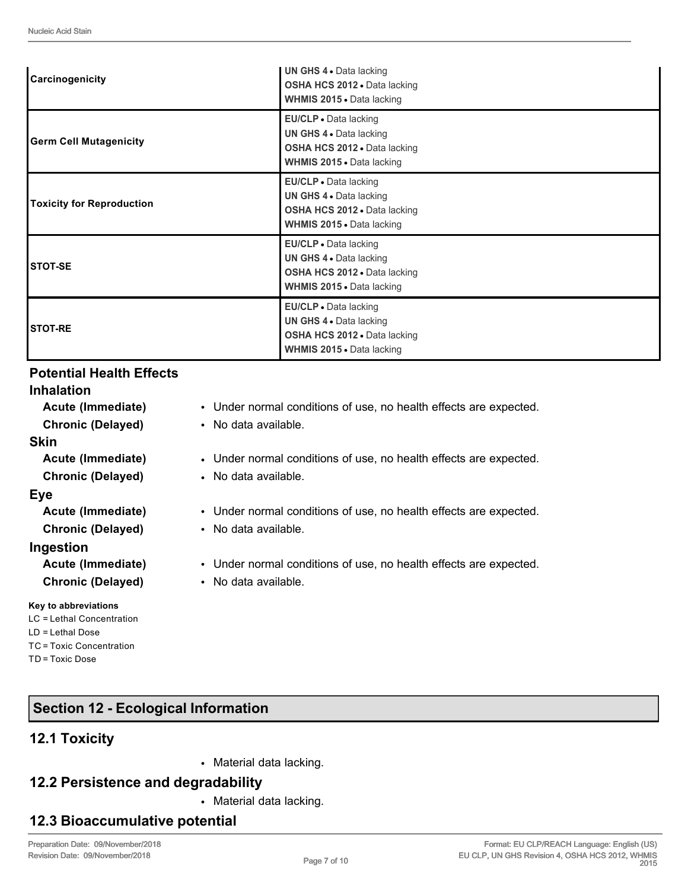| Carcinogenicity                  | UN GHS 4 . Data lacking<br>OSHA HCS 2012 . Data lacking<br>WHMIS 2015 . Data lacking                                 |
|----------------------------------|----------------------------------------------------------------------------------------------------------------------|
| <b>Germ Cell Mutagenicity</b>    | EU/CLP . Data lacking<br>UN GHS 4 . Data lacking<br>OSHA HCS 2012 . Data lacking<br>WHMIS 2015 . Data lacking        |
| <b>Toxicity for Reproduction</b> | EU/CLP • Data lacking<br>UN GHS 4 . Data lacking<br>OSHA HCS 2012 . Data lacking<br><b>WHMIS 2015 .</b> Data lacking |
| <b>STOT-SE</b>                   | EU/CLP · Data lacking<br>UN GHS 4 . Data lacking<br>OSHA HCS 2012 . Data lacking<br>WHMIS 2015 . Data lacking        |
| <b>STOT-RE</b>                   | EU/CLP . Data lacking<br>UN GHS 4 . Data lacking<br>OSHA HCS 2012 . Data lacking<br>WHMIS 2015 . Data lacking        |

# **Potential Health Effects**

#### **Inhalation**

| Acute (Immediate)<br><b>Chronic (Delayed)</b> | • Under normal conditions of use, no health effects are expected.<br>• No data available. |  |  |
|-----------------------------------------------|-------------------------------------------------------------------------------------------|--|--|
| Skin                                          |                                                                                           |  |  |
| Acute (Immediate)                             | • Under normal conditions of use, no health effects are expected.                         |  |  |
| <b>Chronic (Delayed)</b>                      | • No data available.                                                                      |  |  |
| Eye                                           |                                                                                           |  |  |
| Acute (Immediate)                             | • Under normal conditions of use, no health effects are expected.                         |  |  |
| <b>Chronic (Delayed)</b>                      | • No data available.                                                                      |  |  |
| Ingestion                                     |                                                                                           |  |  |
| Acute (Immediate)                             | • Under normal conditions of use, no health effects are expected.                         |  |  |
| <b>Chronic (Delayed)</b>                      | • No data available.                                                                      |  |  |
| Key to abbreviations                          |                                                                                           |  |  |
| LC = Lethal Concentration                     |                                                                                           |  |  |
| $LD = Lethal Does$                            |                                                                                           |  |  |

# **Section 12 - Ecological Information**

# **12.1 Toxicity**

TC = Toxic Concentration

TD = Toxic Dose

• Material data lacking.

# **12.2 Persistence and degradability**

• Material data lacking.

# **12.3 Bioaccumulative potential**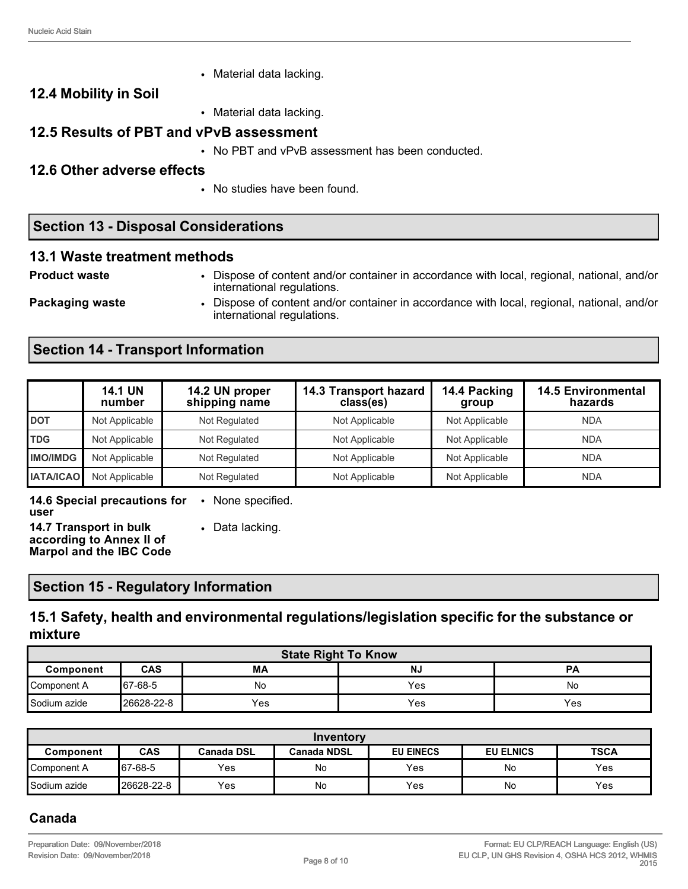• Material data lacking.

## **12.4 Mobility in Soil**

• Material data lacking.

## **12.5 Results of PBT and vPvB assessment**

• No PBT and vPvB assessment has been conducted.

#### **12.6 Other adverse effects**

• No studies have been found.

# **Section 13 - Disposal Considerations**

#### **13.1 Waste treatment methods**

**Product waste** • Dispose of content and/or container in accordance with local, regional, national, and/or international regulations.

**Packaging waste • Dispose of content and/or container in accordance with local, regional, national, and/or** international regulations.

# **Section 14 - Transport Information**

|                  | <b>14.1 UN</b><br>number | 14.2 UN proper<br>shipping name | 14.3 Transport hazard<br>class(es) | 14.4 Packing<br>group | <b>14.5 Environmental</b><br>hazards |
|------------------|--------------------------|---------------------------------|------------------------------------|-----------------------|--------------------------------------|
| <b>DOT</b>       | Not Applicable           | Not Regulated                   | Not Applicable                     | Not Applicable        | <b>NDA</b>                           |
| <b>TDG</b>       | Not Applicable           | Not Regulated                   | Not Applicable                     | Not Applicable        | <b>NDA</b>                           |
| <b>IMO/IMDG</b>  | Not Applicable           | Not Regulated                   | Not Applicable                     | Not Applicable        | <b>NDA</b>                           |
| <b>IATA/ICAO</b> | Not Applicable           | Not Regulated                   | Not Applicable                     | Not Applicable        | <b>NDA</b>                           |

**14.6 Special precautions for user** • None specified.

**14.7 Transport in bulk according to Annex II of Marpol and the IBC Code** • Data lacking.

# **Section 15 - Regulatory Information**

# **15.1 Safety, health and environmental regulations/legislation specific for the substance or mixture**

| <b>State Right To Know</b>                              |            |     |     |     |  |
|---------------------------------------------------------|------------|-----|-----|-----|--|
| <b>CAS</b><br>MA<br><b>NJ</b><br><b>PA</b><br>Component |            |     |     |     |  |
| Component A                                             | 67-68-5    | No  | Yes | No  |  |
| Sodium azide                                            | 26628-22-8 | Yes | Yes | Yes |  |

| Inventory                                                                                                   |            |     |    |     |    |            |
|-------------------------------------------------------------------------------------------------------------|------------|-----|----|-----|----|------------|
| CAS<br><b>TSCA</b><br><b>EU EINECS</b><br><b>EU ELNICS</b><br>Canada DSL<br><b>Canada NDSL</b><br>Component |            |     |    |     |    |            |
| Component A                                                                                                 | 67-68-5    | Yes | No | Yes | No | <b>Yes</b> |
| Sodium azide                                                                                                | 26628-22-8 | Yes | No | Yes | No | Yes        |

# **Canada**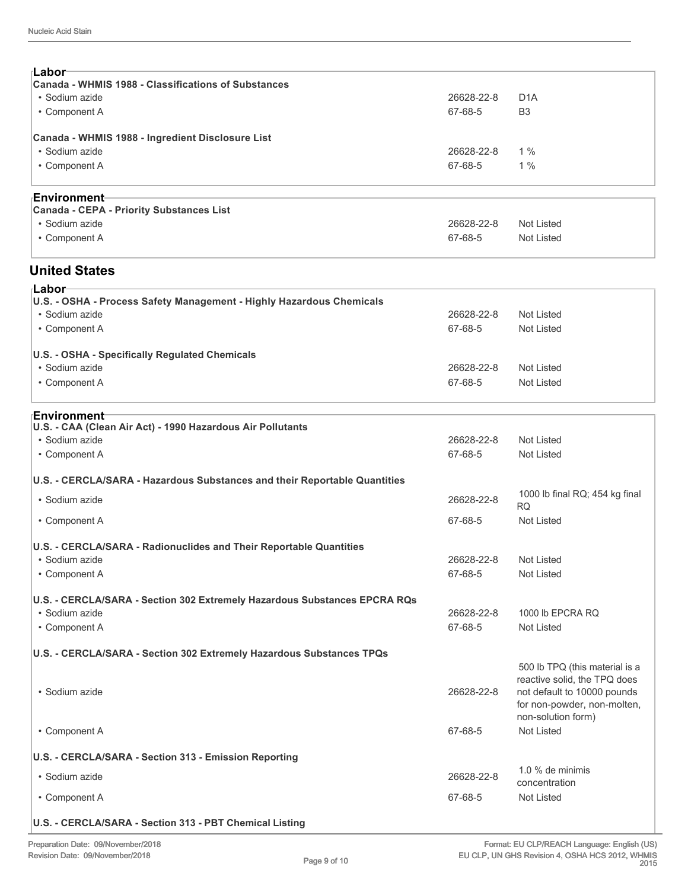| ⊺Labor <sup>.</sup>                                 |            |                  |  |  |  |
|-----------------------------------------------------|------------|------------------|--|--|--|
| Canada - WHMIS 1988 - Classifications of Substances |            |                  |  |  |  |
| • Sodium azide                                      | 26628-22-8 | D <sub>1</sub> A |  |  |  |
| • Component A                                       | 67-68-5    | B <sub>3</sub>   |  |  |  |
| Canada - WHMIS 1988 - Ingredient Disclosure List    |            |                  |  |  |  |
| • Sodium azide                                      | 26628-22-8 | 1%               |  |  |  |
| • Component A                                       | 67-68-5    | 1%               |  |  |  |
|                                                     |            |                  |  |  |  |
|                                                     |            |                  |  |  |  |

| <sub>⊺</sub> Environment─                |            |            |
|------------------------------------------|------------|------------|
| Canada - CEPA - Priority Substances List |            |            |
| • Sodium azide                           | 26628-22-8 | Not Listed |
| • Component A                            | 67-68-5    | Not Listed |
|                                          |            |            |

#### **United States**

| ⊦Labor                                                               |            |            |  |  |  |  |  |
|----------------------------------------------------------------------|------------|------------|--|--|--|--|--|
| U.S. - OSHA - Process Safety Management - Highly Hazardous Chemicals |            |            |  |  |  |  |  |
| • Sodium azide                                                       | 26628-22-8 | Not Listed |  |  |  |  |  |
| • Component A                                                        | 67-68-5    | Not Listed |  |  |  |  |  |
| U.S. - OSHA - Specifically Regulated Chemicals                       |            |            |  |  |  |  |  |
| • Sodium azide                                                       | 26628-22-8 | Not Listed |  |  |  |  |  |
| • Component A                                                        | 67-68-5    | Not Listed |  |  |  |  |  |
|                                                                      |            |            |  |  |  |  |  |

#### **Environment**

| EIIVII VIIII IEI IL<br>U.S. - CAA (Clean Air Act) - 1990 Hazardous Air Pollutants |            |                                                                                                                                                    |
|-----------------------------------------------------------------------------------|------------|----------------------------------------------------------------------------------------------------------------------------------------------------|
| · Sodium azide                                                                    | 26628-22-8 | Not Listed                                                                                                                                         |
| • Component A                                                                     | 67-68-5    | Not Listed                                                                                                                                         |
| U.S. - CERCLA/SARA - Hazardous Substances and their Reportable Quantities         |            |                                                                                                                                                    |
| • Sodium azide                                                                    | 26628-22-8 | 1000 lb final RQ; 454 kg final<br><b>RQ</b>                                                                                                        |
| • Component A                                                                     | 67-68-5    | <b>Not Listed</b>                                                                                                                                  |
| U.S. - CERCLA/SARA - Radionuclides and Their Reportable Quantities                |            |                                                                                                                                                    |
| • Sodium azide                                                                    | 26628-22-8 | Not Listed                                                                                                                                         |
| • Component A                                                                     | 67-68-5    | <b>Not Listed</b>                                                                                                                                  |
| U.S. - CERCLA/SARA - Section 302 Extremely Hazardous Substances EPCRA RQs         |            |                                                                                                                                                    |
| • Sodium azide                                                                    | 26628-22-8 | 1000 lb EPCRA RQ                                                                                                                                   |
| • Component A                                                                     | 67-68-5    | <b>Not Listed</b>                                                                                                                                  |
| U.S. - CERCLA/SARA - Section 302 Extremely Hazardous Substances TPQs              |            |                                                                                                                                                    |
| · Sodium azide                                                                    | 26628-22-8 | 500 lb TPQ (this material is a<br>reactive solid, the TPQ does<br>not default to 10000 pounds<br>for non-powder, non-molten,<br>non-solution form) |
| • Component A                                                                     | 67-68-5    | Not Listed                                                                                                                                         |
| U.S. - CERCLA/SARA - Section 313 - Emission Reporting                             |            |                                                                                                                                                    |
| • Sodium azide                                                                    | 26628-22-8 | 1.0 % de minimis<br>concentration                                                                                                                  |
| • Component A                                                                     | 67-68-5    | Not Listed                                                                                                                                         |
| U.S. - CERCLA/SARA - Section 313 - PBT Chemical Listing                           |            |                                                                                                                                                    |